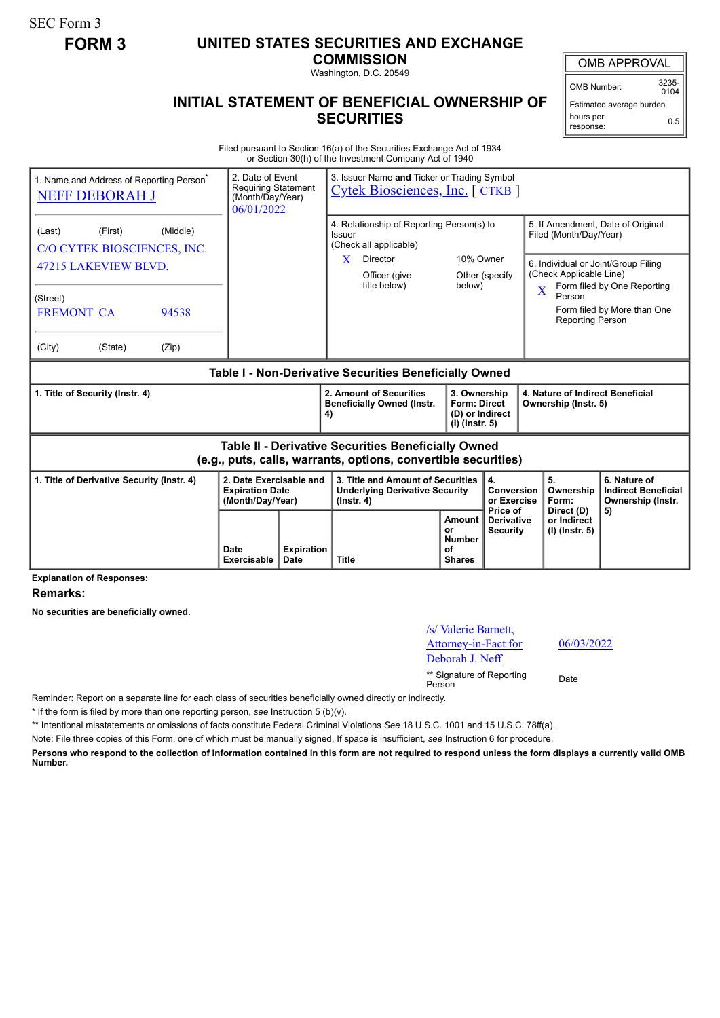SEC Form 3

## **FORM 3 UNITED STATES SECURITIES AND EXCHANGE**

**COMMISSION** Washington, D.C. 20549

OMB APPROVAL

OMB Number: 3235-  $0104$ 

Estimated average burden hours per response: 0.5

## **INITIAL STATEMENT OF BENEFICIAL OWNERSHIP OF SECURITIES**

Filed pursuant to Section 16(a) of the Securities Exchange Act of 1934 or Section 30(h) of the Investment Company Act of 1940

| 1. Name and Address of Reporting Person <sup>®</sup><br><b>NEFF DEBORAH J</b>                                         |                                                    | 2. Date of Event<br>3. Issuer Name and Ticker or Trading Symbol<br><b>Requiring Statement</b><br><b>Cytek Biosciences, Inc.</b> [CTKB ]<br>(Month/Day/Year)<br>06/01/2022 |                                                                       |                           |                                                                                                                                                |        |                                      |                                                          |                                                                                                                                                                                                   |                                                                       |
|-----------------------------------------------------------------------------------------------------------------------|----------------------------------------------------|---------------------------------------------------------------------------------------------------------------------------------------------------------------------------|-----------------------------------------------------------------------|---------------------------|------------------------------------------------------------------------------------------------------------------------------------------------|--------|--------------------------------------|----------------------------------------------------------|---------------------------------------------------------------------------------------------------------------------------------------------------------------------------------------------------|-----------------------------------------------------------------------|
| (Last)                                                                                                                | (First)<br>(Middle)<br>C/O CYTEK BIOSCIENCES, INC. |                                                                                                                                                                           |                                                                       |                           | 4. Relationship of Reporting Person(s) to<br>Issuer<br>(Check all applicable)<br>10% Owner<br>X<br>Director                                    |        |                                      |                                                          | 5. If Amendment, Date of Original<br>Filed (Month/Day/Year)<br>6. Individual or Joint/Group Filing<br>(Check Applicable Line)<br>Form filed by One Reporting<br>$\overline{\mathbf{X}}$<br>Person |                                                                       |
| 47215 LAKEVIEW BLVD.<br>(Street)                                                                                      |                                                    |                                                                                                                                                                           |                                                                       |                           | Officer (give<br>title below)                                                                                                                  | below) | Other (specify                       |                                                          |                                                                                                                                                                                                   |                                                                       |
| <b>FREMONT CA</b>                                                                                                     |                                                    | 94538                                                                                                                                                                     |                                                                       |                           |                                                                                                                                                |        |                                      |                                                          | <b>Reporting Person</b>                                                                                                                                                                           | Form filed by More than One                                           |
| (City)                                                                                                                | (State)                                            | (Zip)                                                                                                                                                                     |                                                                       |                           |                                                                                                                                                |        |                                      |                                                          |                                                                                                                                                                                                   |                                                                       |
| Table I - Non-Derivative Securities Beneficially Owned                                                                |                                                    |                                                                                                                                                                           |                                                                       |                           |                                                                                                                                                |        |                                      |                                                          |                                                                                                                                                                                                   |                                                                       |
| 1. Title of Security (Instr. 4)                                                                                       |                                                    |                                                                                                                                                                           |                                                                       |                           | 2. Amount of Securities<br>3. Ownership<br><b>Beneficially Owned (Instr.</b><br><b>Form: Direct</b><br>(D) or Indirect<br>4)<br>(I) (Instr. 5) |        |                                      | 4. Nature of Indirect Beneficial<br>Ownership (Instr. 5) |                                                                                                                                                                                                   |                                                                       |
| Table II - Derivative Securities Beneficially Owned<br>(e.g., puts, calls, warrants, options, convertible securities) |                                                    |                                                                                                                                                                           |                                                                       |                           |                                                                                                                                                |        |                                      |                                                          |                                                                                                                                                                                                   |                                                                       |
| 1. Title of Derivative Security (Instr. 4)                                                                            |                                                    |                                                                                                                                                                           | 2. Date Exercisable and<br><b>Expiration Date</b><br>(Month/Day/Year) |                           | 3. Title and Amount of Securities<br><b>Underlying Derivative Security</b><br>$($ lnstr. 4 $)$                                                 |        |                                      | 4.<br>Conversion<br>or Exercise<br>Price of              | 5.<br>Ownership<br>Form:<br>Direct (D)                                                                                                                                                            | 6. Nature of<br><b>Indirect Beneficial</b><br>Ownership (Instr.<br>5) |
|                                                                                                                       |                                                    |                                                                                                                                                                           | Date<br>Exercisable                                                   | <b>Expiration</b><br>Date | Amount<br>or<br><b>Number</b><br>οf<br><b>Title</b><br><b>Shares</b>                                                                           |        | <b>Derivative</b><br><b>Security</b> | or Indirect<br>(I) (Instr. 5)                            |                                                                                                                                                                                                   |                                                                       |

**Explanation of Responses:**

**Remarks:**

**No securities are beneficially owned.**

/s/ Valerie Barnett, Attorney-in-Fact for Deborah J. Neff \*\* Signature of Reporting Person Date

06/03/2022

Reminder: Report on a separate line for each class of securities beneficially owned directly or indirectly.

\* If the form is filed by more than one reporting person, *see* Instruction 5 (b)(v).

\*\* Intentional misstatements or omissions of facts constitute Federal Criminal Violations *See* 18 U.S.C. 1001 and 15 U.S.C. 78ff(a).

Note: File three copies of this Form, one of which must be manually signed. If space is insufficient, *see* Instruction 6 for procedure.

**Persons who respond to the collection of information contained in this form are not required to respond unless the form displays a currently valid OMB Number.**